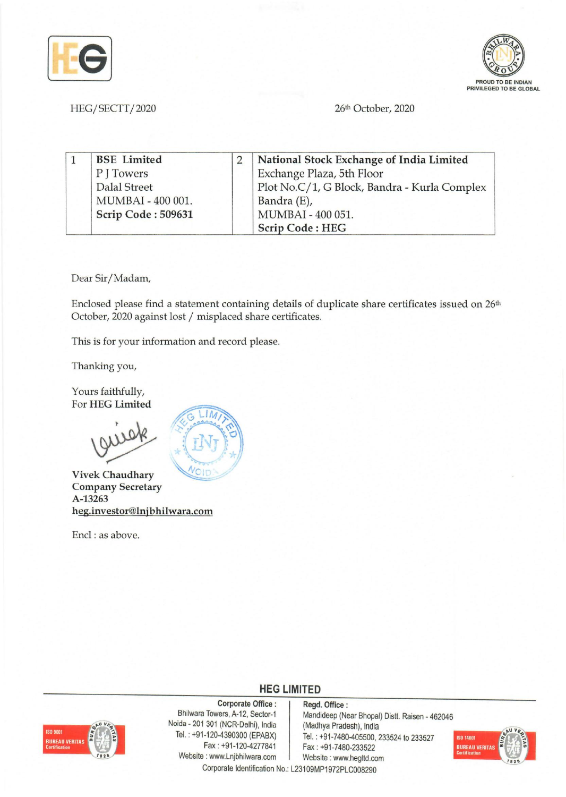



26th October, 2020

1 BSE Limited 2 National Stock Exchange of India Limited P J Towers Exchange Plaza, 5th Floor Dalal Street Plot *No.C/1, G Block, Bandra - Kurla Complex* MUMBAI - 400 001. Bandra (E), Scrip Code: 509631 MUMBAI - 400 051.

Dear Sir/Madam,

HEG/SECTT/2020

Enclosed please find a statement containing details of duplicate share certificates issued on 26<sup>th</sup> October, 2020 against lost / misplaced share certificates.

Scrip Code: HEG

This is for your information and record please.

Thanking you,

Yours faithfully, For HEG Limited



Vivek Chaudhary Company Secretary A-13263 heg.investor@lnjbhilwara.com

Encl: as above.

## **HEG LIMITED**

**BUREAU VERITA** 

Corporate Office: Regd. Office:<br>Bhilwara Towers, A-12, Sector-1 Mandideep (Ne Noida - 201 301 (NCR-Delhi), India (Madhya Pradesh), India<br>Tel.: +91-120-4390300 (EPABX) Tel.: +91-7480-405500.2 Website: www.Lnjbhilwara.com | Website: www.hegltd.com Corporate Identification No.: L23109MP1972PLC008290

Mandideep (Near Bhopal) Distt. Raisen - 462046 1-120-4390300 (EPABX) Tel.: +91-7480-405500, 233524 to 233527<br>Fax: +91-120-4277841 Fax: +91-7480-233522 Fax: +91-7480-233522